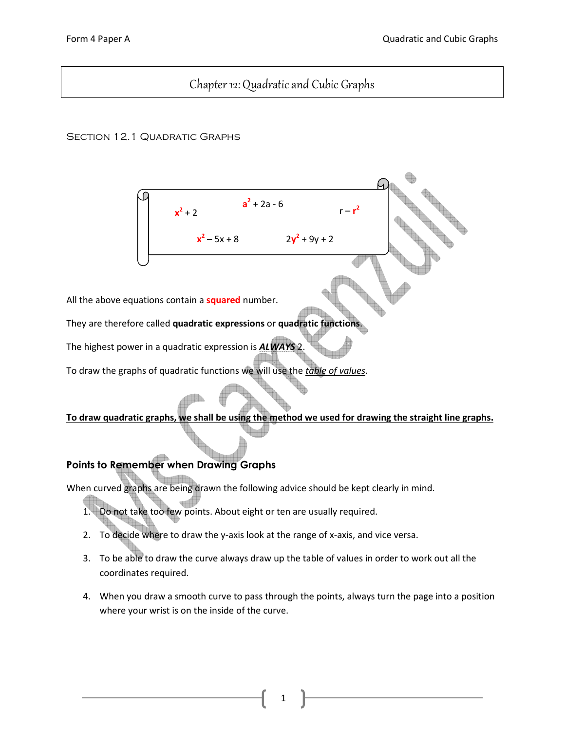# Chapter 12: Quadratic and Cubic Graphs

**a**<sup>2</sup> + 2a - 6

 $x^2 - 5x + 8$  2y

 $r - r^2$ 

 $2 + 9y + 2$ 

## SECTION 12.1 QUADRATIC GRAPHS

D

All the above equations contain a **squared** number.

 $x^2 + 2$ 

They are therefore called quadratic expressions or quadratic functions.

The highest power in a quadratic expression is **ALWAYS** 2.

To draw the graphs of quadratic functions we will use the table of values.

## To draw quadratic graphs, we shall be using the method we used for drawing the straight line graphs.

## Points to Remember when Drawing Graphs

When curved graphs are being drawn the following advice should be kept clearly in mind.

- 1. Do not take too few points. About eight or ten are usually required.
- 2. To decide where to draw the y-axis look at the range of x-axis, and vice versa.
- 3. To be able to draw the curve always draw up the table of values in order to work out all the coordinates required.
- 4. When you draw a smooth curve to pass through the points, always turn the page into a position where your wrist is on the inside of the curve.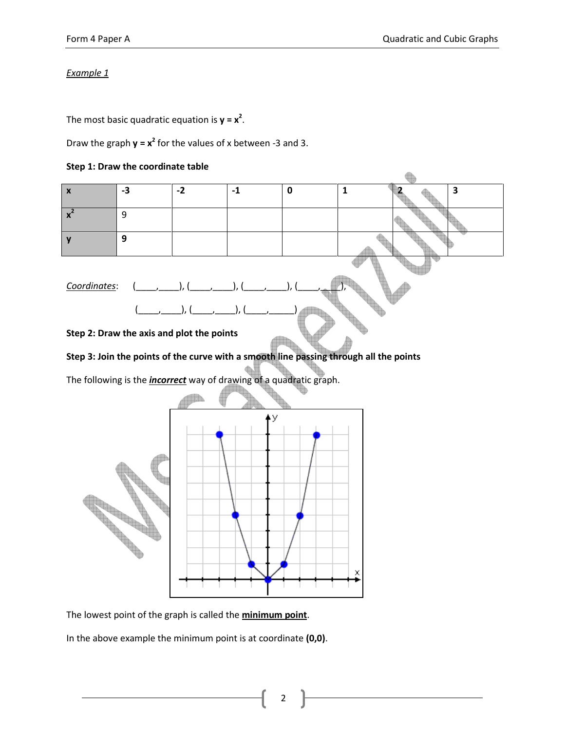The most basic quadratic equation is  $y = x^2$ .

Draw the graph  $y = x^2$  for the values of x between -3 and 3.

#### Step 1: Draw the coordinate table



The lowest point of the graph is called the **minimum point**.

The Contract of the

In the above example the minimum point is at coordinate (0,0).

2

X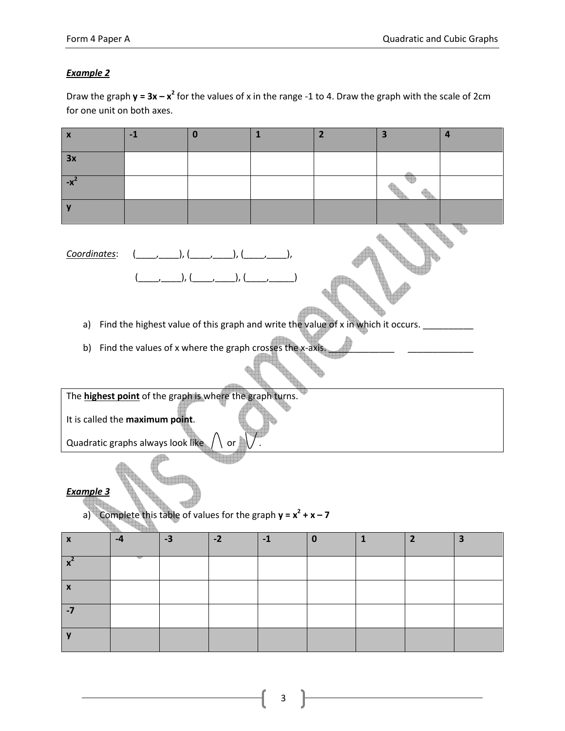Draw the graph  $y = 3x - x^2$  for the values of x in the range -1 to 4. Draw the graph with the scale of 2cm for one unit on both axes.

| $\pmb{\mathsf{X}}$                                                                         | $-1$                                                                                        | $\bf{0}$ |                        | $\mathbf{1}$                                             | $\overline{2}$ | $\overline{\mathbf{3}}$ |                | $\overline{a}$          |  |  |  |  |
|--------------------------------------------------------------------------------------------|---------------------------------------------------------------------------------------------|----------|------------------------|----------------------------------------------------------|----------------|-------------------------|----------------|-------------------------|--|--|--|--|
| 3x                                                                                         |                                                                                             |          |                        |                                                          |                |                         |                |                         |  |  |  |  |
| $-x^2$                                                                                     |                                                                                             |          |                        |                                                          |                |                         |                |                         |  |  |  |  |
| y                                                                                          |                                                                                             |          |                        |                                                          |                |                         |                |                         |  |  |  |  |
| $(\_\_\_\_\_\_\_\_),\,(\_\_\_\_\_\_\_),\,(\_\_\_\_\_\_),\,(\_\_\_\_\_\_),$<br>Coordinates: |                                                                                             |          |                        |                                                          |                |                         |                |                         |  |  |  |  |
| a)                                                                                         | Find the highest value of this graph and write the value of x in which it occurs. _________ |          |                        |                                                          |                |                         |                |                         |  |  |  |  |
| b)                                                                                         |                                                                                             |          |                        | Find the values of x where the graph crosses the x-axis. |                |                         |                |                         |  |  |  |  |
|                                                                                            |                                                                                             |          |                        |                                                          |                |                         |                |                         |  |  |  |  |
| The <b>highest point</b> of the graph is where the graph turns.                            |                                                                                             |          |                        |                                                          |                |                         |                |                         |  |  |  |  |
| It is called the maximum point.                                                            |                                                                                             |          |                        |                                                          |                |                         |                |                         |  |  |  |  |
| Quadratic graphs always look like $\sqrt{ }$                                               |                                                                                             |          | $\setminus$ or $\vert$ |                                                          |                |                         |                |                         |  |  |  |  |
| <b>Example 3</b><br>a) Complete this table of values for the graph $y = x^2 + x - 7$       |                                                                                             |          |                        |                                                          |                |                         |                |                         |  |  |  |  |
| $\mathbf x$                                                                                | $-4$                                                                                        | $-3$     | $-2$                   | $-1$                                                     | $\mathbf 0$    | $\vert$ 1               | $\overline{2}$ | $\overline{\mathbf{3}}$ |  |  |  |  |
| $x^2$                                                                                      |                                                                                             |          |                        |                                                          |                |                         |                |                         |  |  |  |  |
| $\pmb{\mathsf{x}}$                                                                         |                                                                                             |          |                        |                                                          |                |                         |                |                         |  |  |  |  |
| $-7$                                                                                       |                                                                                             |          |                        |                                                          |                |                         |                |                         |  |  |  |  |
| y                                                                                          |                                                                                             |          |                        |                                                          |                |                         |                |                         |  |  |  |  |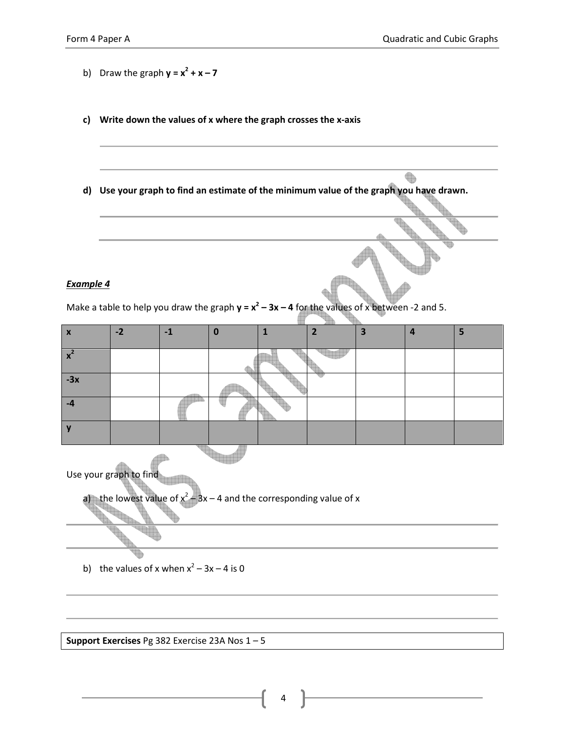b) Draw the graph  $y = x^2 + x - 7$ c) Write down the values of x where the graph crosses the x-axis  $\begin{picture}(220,20) \put(0,0){\line(1,0){10}} \put(15,0){\line(1,0){10}} \put(15,0){\line(1,0){10}} \put(15,0){\line(1,0){10}} \put(15,0){\line(1,0){10}} \put(15,0){\line(1,0){10}} \put(15,0){\line(1,0){10}} \put(15,0){\line(1,0){10}} \put(15,0){\line(1,0){10}} \put(15,0){\line(1,0){10}} \put(15,0){\line(1,0){10}} \put(15,0){\line($ d) Use your graph to find an estimate of the minimum value of the graph you have drawn. Example 4 Make a table to help you draw the graph  $y = x^2 - 3x - 4$  for the values of x between -2 and 5. x |-2 |-1 |0 |1 |2 |3 |4 |5 W  $x^2$ -3x -4 y Use your graph to find  $-3x - 4$  and the corresponding value of x a) the lowest value of  $x^2$ b) the values of x when  $x^2 - 3x - 4$  is 0

Support Exercises Pg 382 Exercise 23A Nos 1 – 5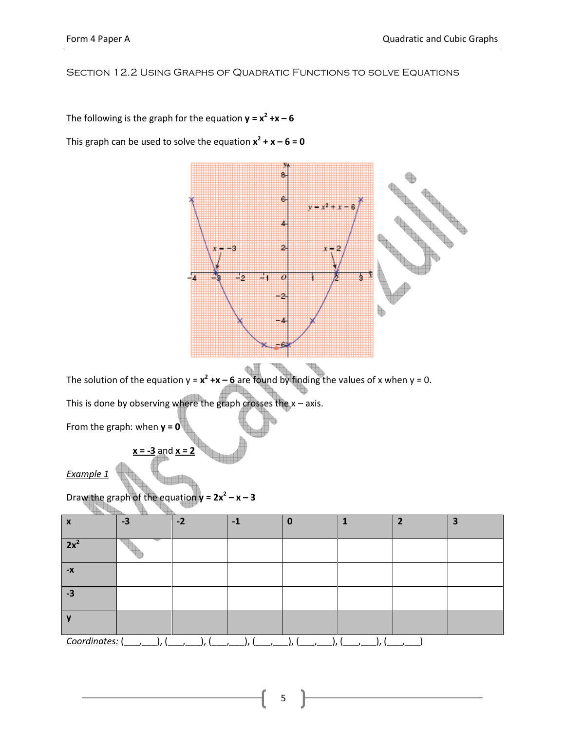## Section 12.2 Using Graphs of Quadratic Functions to solve Equations

The following is the graph for the equation  $y = x^2 + x - 6$ 

This graph can be used to solve the equation  $x^2 + x - 6 = 0$ 



The solution of the equation  $y = x^2 + x - 6$  are found by finding the values of x when  $y = 0$ .

This is done by observing where the graph crosses the  $x - a$ xis.

From the graph: when  $y = 0$ <sup>\*</sup>

Example 1

Draw the graph of the equation  $y = 2x^2 - x - 3$ 

 $x = -3$  and  $x = 2$ 

| $\mathbf{v}$<br>л | $-3$ | $-2$ | $-1$ |  | 3 |
|-------------------|------|------|------|--|---|
| 2x                |      |      |      |  |   |
| $-X$              |      |      |      |  |   |
| $-3$              |      |      |      |  |   |
|                   |      |      |      |  |   |
| Coordinates: (    |      |      |      |  |   |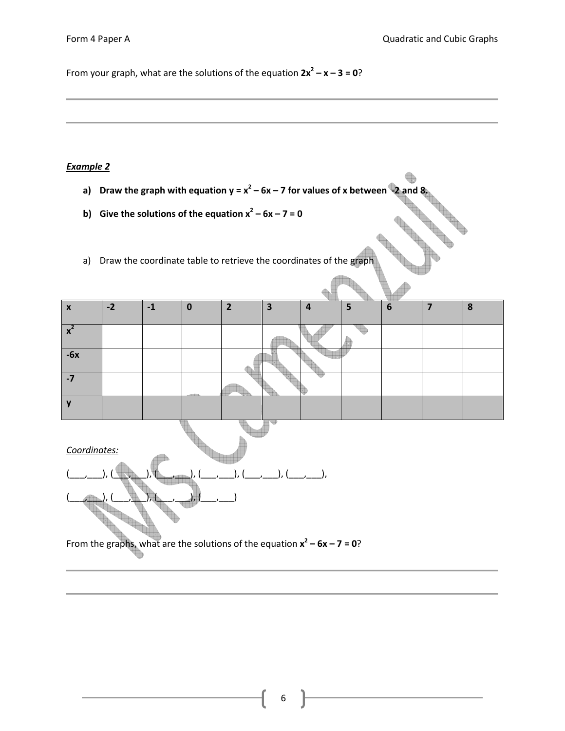From your graph, what are the solutions of the equation  $2x^2 - x - 3 = 0$ ?

#### Example 2

- a) Draw the graph with equation  $y = x^2 6x 7$  for values of x between  $-2$  and 8.
- b) Give the solutions of the equation  $x^2 6x 7 = 0$
- a) Draw the coordinate table to retrieve the coordinates of the graph

| $\boldsymbol{\mathsf{x}}$ | $-2$ | $-1$ | 0 | ר | ю | 4 | 5 | 6 | 8 |
|---------------------------|------|------|---|---|---|---|---|---|---|
| $\mathbf{x}^2$            |      |      |   |   |   |   |   |   |   |
| $-6x$                     |      |      |   |   |   |   |   |   |   |
| $-7$                      |      |      |   |   |   |   |   |   |   |
| $\overline{\phantom{a}}$  |      |      |   |   |   |   |   |   |   |

Coordinates:



From the graphs, what are the solutions of the equation  $x^2 - 6x - 7 = 0$ ?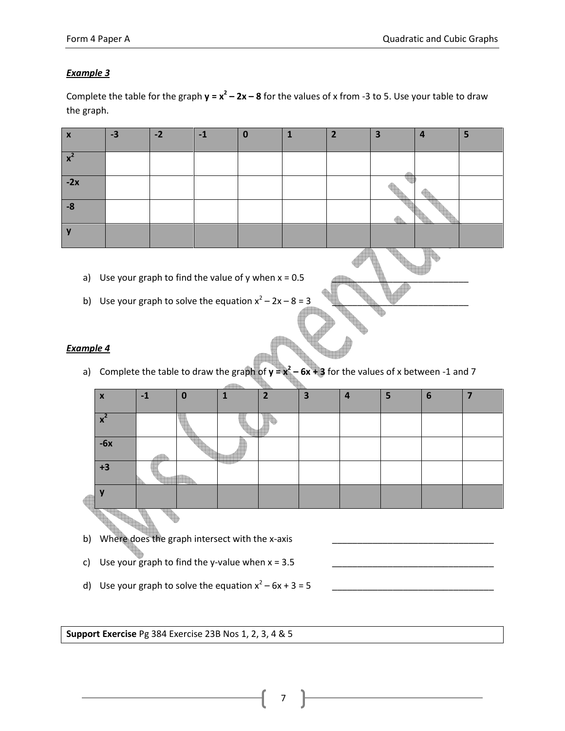Complete the table for the graph  $y = x^2 - 2x - 8$  for the values of x from -3 to 5. Use your table to draw the graph.

| $\overline{\mathbf{v}}$<br>$\boldsymbol{\mathsf{A}}$ | $-3$ | $-2$ | $-1$ | o | כ | 3 | 4 | 5 |
|------------------------------------------------------|------|------|------|---|---|---|---|---|
| $\mathbf{\Lambda}$                                   |      |      |      |   |   |   |   |   |
| $-2x$                                                |      |      |      |   |   |   |   |   |
| $-8$                                                 |      |      |      |   |   |   |   |   |
|                                                      |      |      |      |   |   |   |   |   |

- a) Use your graph to find the value of y when  $x = 0.5$
- b) Use your graph to solve the equation  $x^2 2x 8 = 3$

## Example 4

a) Complete the table to draw the graph of  $y = x^2 - 6x + 3$  for the values of x between -1 and 7

|  | X                         |  |  |  | $\overline{\phantom{a}}$ | 3 | 2 |  | 6 |  |  |  |
|--|---------------------------|--|--|--|--------------------------|---|---|--|---|--|--|--|
|  |                           |  |  |  |                          |   |   |  |   |  |  |  |
|  | $\boldsymbol{\mathsf{A}}$ |  |  |  |                          |   |   |  |   |  |  |  |
|  | $-6x$                     |  |  |  |                          |   |   |  |   |  |  |  |
|  | +3                        |  |  |  |                          |   |   |  |   |  |  |  |
|  |                           |  |  |  |                          |   |   |  |   |  |  |  |
|  |                           |  |  |  |                          |   |   |  |   |  |  |  |

- b) Where does the graph intersect with the x-axis
- c) Use your graph to find the y-value when  $x = 3.5$
- d) Use your graph to solve the equation x<sup>2</sup> – 6x + 3 = 5 \_\_\_\_\_\_\_\_\_\_\_\_\_\_\_\_\_\_\_\_\_\_\_\_\_\_\_\_\_\_\_\_

Support Exercise Pg 384 Exercise 23B Nos 1, 2, 3, 4 & 5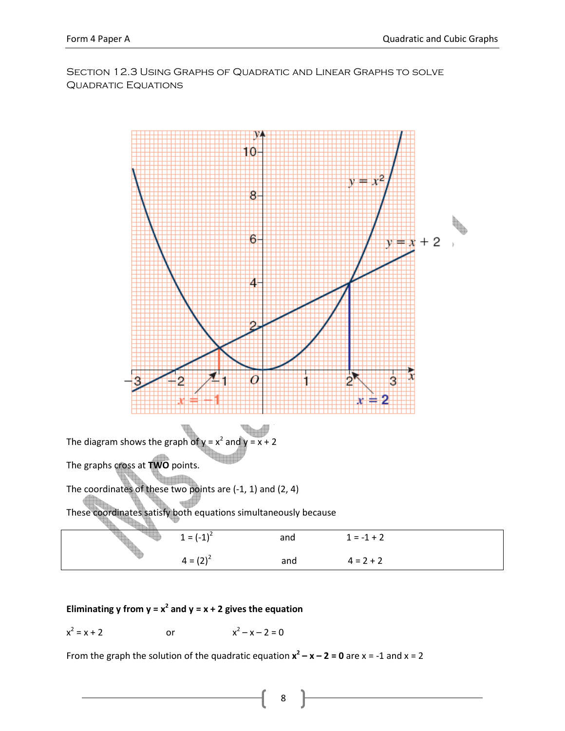Section 12.3 Using Graphs of Quadratic and Linear Graphs to solve QUADRATIC EQUATIONS



### Eliminating y from  $y = x^2$  and  $y = x + 2$  gives the equation

$$
x^2 = x + 2
$$
 or  $x^2 - x - 2 = 0$ 

From the graph the solution of the quadratic equation  $x^2 - x - 2 = 0$  are  $x = -1$  and  $x = 2$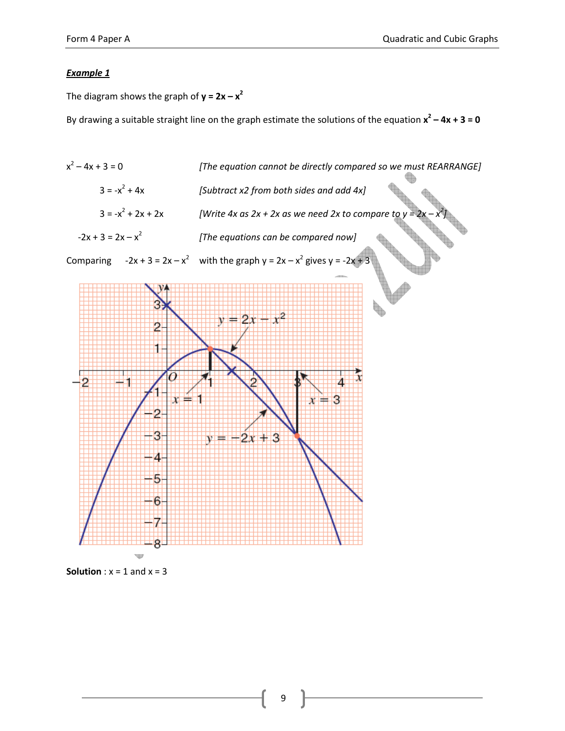The diagram shows the graph of  $y = 2x - x^2$ 

By drawing a suitable straight line on the graph estimate the solutions of the equation  $x^2 - 4x + 3 = 0$ 



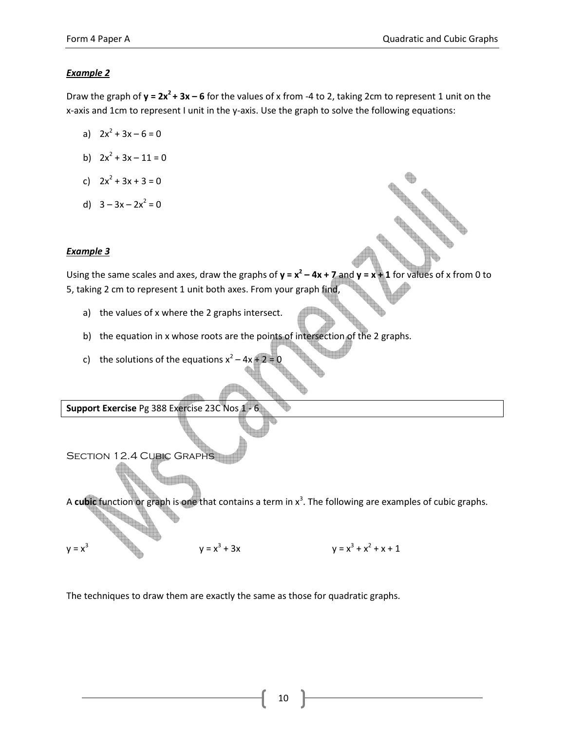Draw the graph of  $y = 2x^2 + 3x - 6$  for the values of x from -4 to 2, taking 2cm to represent 1 unit on the x-axis and 1cm to represent I unit in the y-axis. Use the graph to solve the following equations:

- a)  $2x^2 + 3x 6 = 0$
- b)  $2x^2 + 3x 11 = 0$
- c)  $2x^2 + 3x + 3 = 0$
- d)  $3 3x 2x^2 = 0$

## Example 3

 $y = x^3$ 

Using the same scales and axes, draw the graphs of  $y = x^2 - 4x + 7$  and  $y = x + 1$  for values of x from 0 to 5, taking 2 cm to represent 1 unit both axes. From your graph find,

- a) the values of x where the 2 graphs intersect.
- b) the equation in x whose roots are the points of intersection of the 2 graphs.
- c) the solutions of the equations  $x^2 4x + 2 = 0$

Support Exercise Pg 388 Exercise 23C Nos 1

Section 12.4 Cubic Graphs A cubic function or graph is one that contains a term in  $x^3$ . The following are examples of cubic graphs.

The techniques to draw them are exactly the same as those for quadratic graphs.

 $y = x^3 + 3x$ 

10

+ 3x  $y = x^3 + x^2 + x + 1$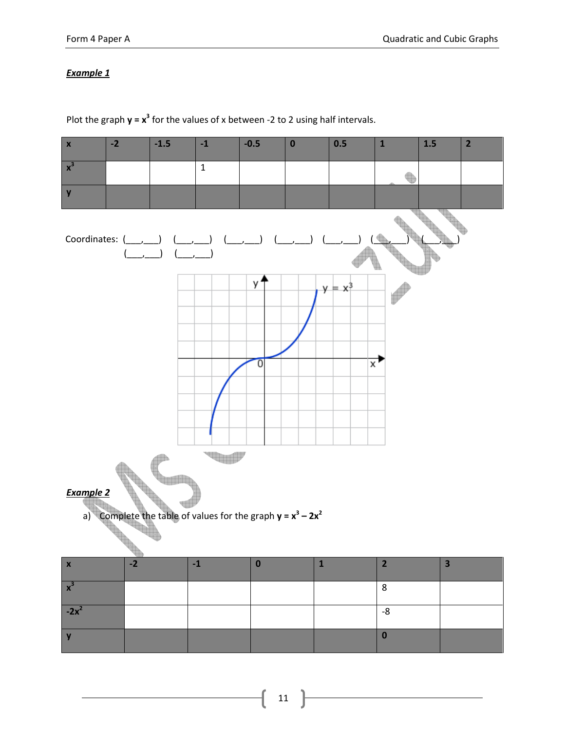Plot the graph  $y = x^3$  for the values of x between -2 to 2 using half intervals.

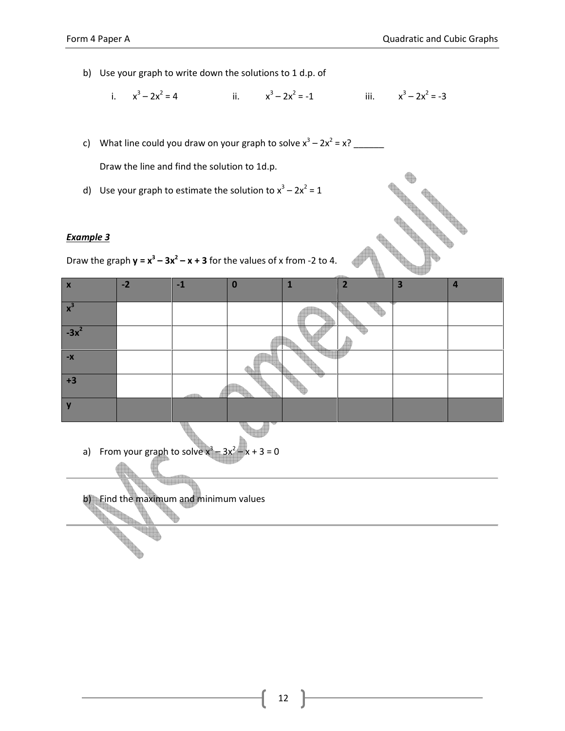- b) Use your graph to write down the solutions to 1 d.p. of
	- i.  $x^3 2x^2$  $= 4$  ii.  $x^3 - 2x^2 = -1$  iii.  $x^3$  $-2x^2 = -3$
- c) What line could you draw on your graph to solve  $x^3 2x^2 = x$ ?

Draw the line and find the solution to 1d.p.

d) Use your graph to estimate the solution to  $x^3 - 2x^2 = 1$ 

#### Example 3



|                                                                           | $\alpha$ case your graph to estimate the solution to $x = 2x - 1$<br>Example 3 |      |          |              |                |   |                |  |  |  |  |  |
|---------------------------------------------------------------------------|--------------------------------------------------------------------------------|------|----------|--------------|----------------|---|----------------|--|--|--|--|--|
| Draw the graph $y = x^3 - 3x^2 - x + 3$ for the values of x from -2 to 4. |                                                                                |      |          |              |                |   |                |  |  |  |  |  |
|                                                                           |                                                                                |      |          |              |                |   |                |  |  |  |  |  |
| $\boldsymbol{\mathsf{x}}$                                                 | $-2$                                                                           | $-1$ | $\bf{0}$ | $\mathbf{1}$ | $\overline{2}$ | 3 | $\overline{a}$ |  |  |  |  |  |
| $x^3$                                                                     |                                                                                |      |          |              |                |   |                |  |  |  |  |  |
| $-3x^2$                                                                   |                                                                                |      |          |              |                |   |                |  |  |  |  |  |
| $-X$                                                                      |                                                                                |      |          |              |                |   |                |  |  |  |  |  |
| $+3$                                                                      |                                                                                |      |          |              |                |   |                |  |  |  |  |  |
| $\mathbf v$                                                               |                                                                                |      |          |              |                |   |                |  |  |  |  |  |

a) From your graph to solve  $x^3$  $-3x^2$  $-x + 3 = 0$ 

b) Find the maximum and minimum values

Article of the contract of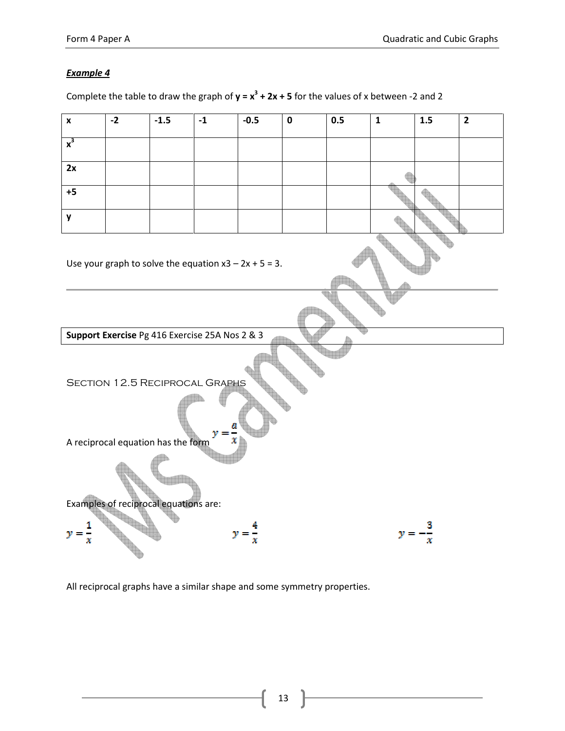Complete the table to draw the graph of  $y = x^3 + 2x + 5$  for the values of x between -2 and 2



All reciprocal graphs have a similar shape and some symmetry properties.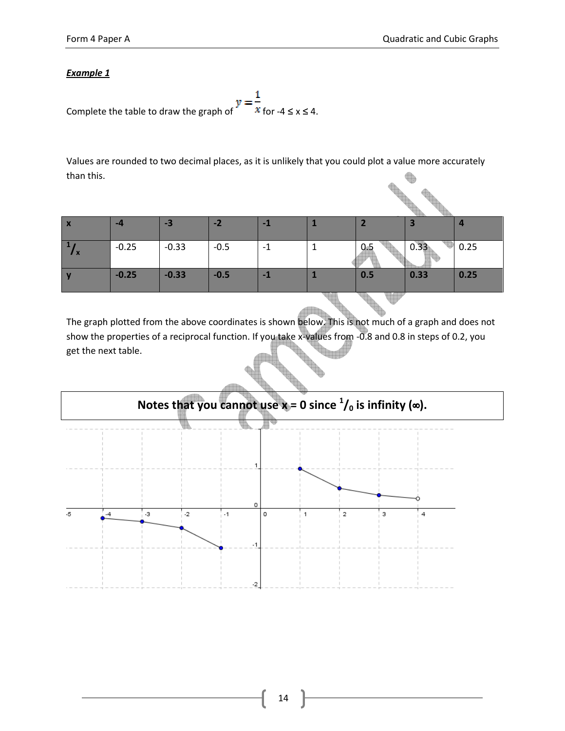$$
y = \frac{1}{x}
$$
  
Complete the table to draw the graph of  $x \leq x \leq 4$ .

Values are rounded to two decimal places, as it is unlikely that you could plot a value more accurately than this.

| $\overline{\phantom{a}}$<br>$\boldsymbol{\mathsf{x}}$ | -4      | -3      | $-2$   | -1   |     |      | $\overline{a}$ |
|-------------------------------------------------------|---------|---------|--------|------|-----|------|----------------|
|                                                       | $-0.25$ | $-0.33$ | $-0.5$ | $-1$ | 0.5 | 0.33 | 0.25           |
|                                                       | $-0.25$ | $-0.33$ | $-0.5$ | -1   | 0.5 | 0.33 | 0.25           |
|                                                       |         |         |        |      |     |      |                |

The graph plotted from the above coordinates is shown below. This is not much of a graph and does not show the properties of a reciprocal function. If you take x-values from -0.8 and 0.8 in steps of 0.2, you get the next table.

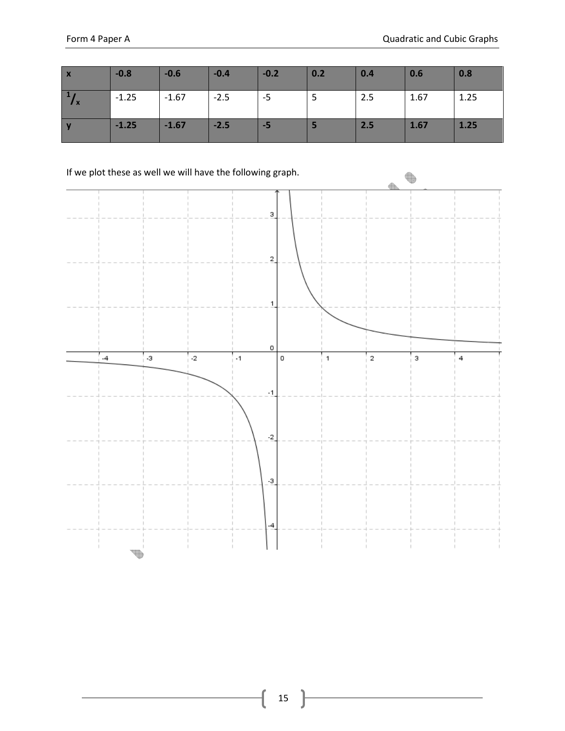| $\boldsymbol{X}$                 | $-0.8$  | $-0.6$  | $-0.4$ | $-0.2$ | 0.2 | 0.4 | 0.6  | 0.8  |
|----------------------------------|---------|---------|--------|--------|-----|-----|------|------|
| $\mathbf{1}$ ,<br>$\mathbf{I}$ X | $-1.25$ | $-1.67$ | $-2.5$ | -5     | ь   | 2.5 | 1.67 | 1.25 |
|                                  | $-1.25$ | $-1.67$ | $-2.5$ | $-5$   |     | 2.5 | 1.67 | 1.25 |

If we plot these as well we will have the following graph.

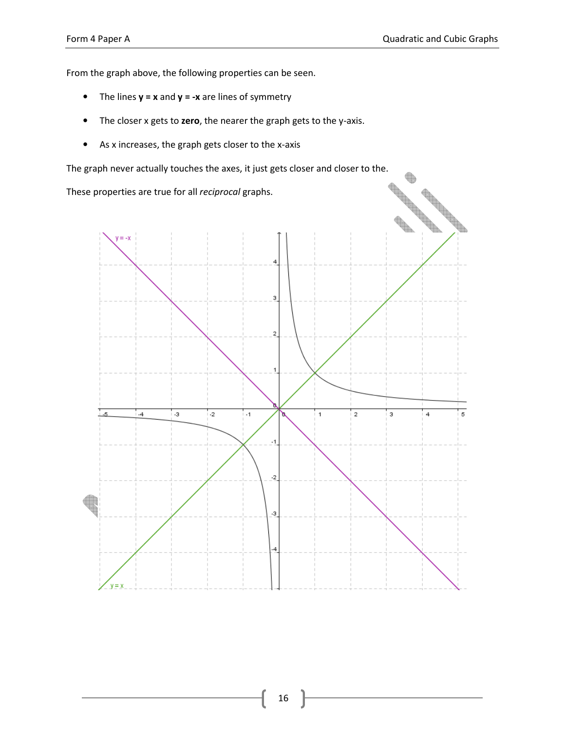$\begin{picture}(220,20) \put(0,0){\line(1,0){10}} \put(15,0){\line(1,0){10}} \put(15,0){\line(1,0){10}} \put(15,0){\line(1,0){10}} \put(15,0){\line(1,0){10}} \put(15,0){\line(1,0){10}} \put(15,0){\line(1,0){10}} \put(15,0){\line(1,0){10}} \put(15,0){\line(1,0){10}} \put(15,0){\line(1,0){10}} \put(15,0){\line(1,0){10}} \put(15,0){\line($ 

From the graph above, the following properties can be seen.

- The lines  $y = x$  and  $y = -x$  are lines of symmetry
- The closer x gets to zero, the nearer the graph gets to the y-axis.
- As x increases, the graph gets closer to the x-axis

These properties are true for all reciprocal graphs.

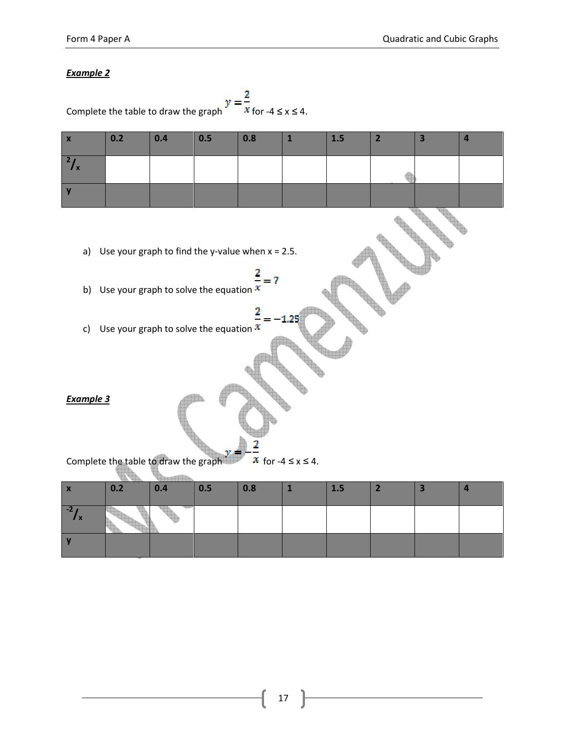y

| $\mathbf{z}$<br>Complete the table to draw the graph<br>$x$ for -4 $\leq x \leq 4$ . |                                                                                                                                                                                                                                                                                                   |     |     |     |              |     |                |                         |                         |  |  |  |
|--------------------------------------------------------------------------------------|---------------------------------------------------------------------------------------------------------------------------------------------------------------------------------------------------------------------------------------------------------------------------------------------------|-----|-----|-----|--------------|-----|----------------|-------------------------|-------------------------|--|--|--|
| $\pmb{\mathsf{x}}$                                                                   | 0.2                                                                                                                                                                                                                                                                                               | 0.4 | 0.5 | 0.8 | $\mathbf{1}$ | 1.5 | $\overline{2}$ | $\overline{\mathbf{3}}$ | $\overline{\mathbf{4}}$ |  |  |  |
| $\frac{2}{x}$                                                                        |                                                                                                                                                                                                                                                                                                   |     |     |     |              |     |                |                         |                         |  |  |  |
| $\mathbf y$                                                                          |                                                                                                                                                                                                                                                                                                   |     |     |     |              |     |                |                         |                         |  |  |  |
| a)<br>b)<br>c)                                                                       | Use your graph to find the y-value when $x = 2.5$ .<br>$\frac{2}{7} = 7$<br>Use your graph to solve the equation $x$<br>$-1.25$<br>Use your graph to solve the equation $\mathfrak X$<br><b>Example 3</b><br>2<br>Complete the table to draw the graph<br>$\mathcal{X}$ for -4 $\leq$ x $\leq$ 4. |     |     |     |              |     |                |                         |                         |  |  |  |
| $\pmb{\mathsf{X}}$                                                                   | 0.2                                                                                                                                                                                                                                                                                               | 0.4 | 0.5 | 0.8 | $\mathbf{1}$ | 1.5 | $\overline{2}$ | 3                       | $\overline{\mathbf{4}}$ |  |  |  |
| $\frac{-2}{x}$                                                                       |                                                                                                                                                                                                                                                                                                   |     |     |     |              |     |                |                         |                         |  |  |  |